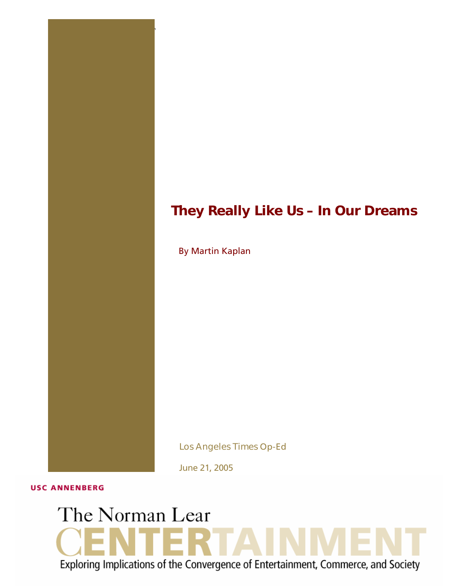## *They Really Like Us – In Our Dreams*

By Martin Kaplan

1 THE NORMAN LEAR CENTER **"The Politi cs of Media, Technology & Culture"**

*Los Angeles Times* Op-Ed

June 21, 2005

**USC ANNENBERG** 

# The Norman Lear Exploring Implications of the Convergence of Entertainment, Commerce, and Society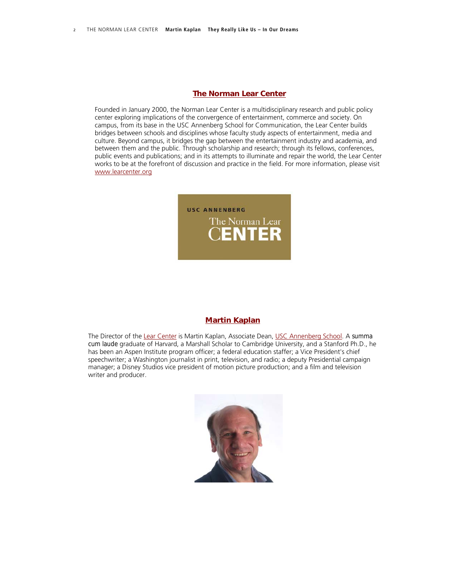#### *[The Norman Lear Center](http://www.learcenter.org/)*

Founded in January 2000, the Norman Lear Center is a multidisciplinary research and public policy center exploring implications of the convergence of entertainment, commerce and society. On campus, from its base in the USC Annenberg School for Communication, the Lear Center builds bridges between schools and disciplines whose faculty study aspects of entertainment, media and culture. Beyond campus, it bridges the gap between the entertainment industry and academia, and between them and the public. Through scholarship and research; through its fellows, conferences, public events and publications; and in its attempts to illuminate and repair the world, the Lear Center works to be at the forefront of discussion and practice in the field. For more information, please visit [www.learcenter.org](http://www.learcenter.org/)



#### *[Martin Kaplan](http://www.learcenter.org/html/about/?&cm=kaplan)*

The Director of the [Lear Center](http://www.learcenter.org/html/index.php) is Martin Kaplan, Associate Dean, [USC Annenberg School](http://ascweb.usc.edu/home.php). A *summa cum laude* graduate of Harvard, a Marshall Scholar to Cambridge University, and a Stanford Ph.D., he has been an Aspen Institute program officer; a federal education staffer; a Vice President's chief speechwriter; a Washington journalist in print, television, and radio; a deputy Presidential campaign manager; a Disney Studios vice president of motion picture production; and a film and television writer and producer.

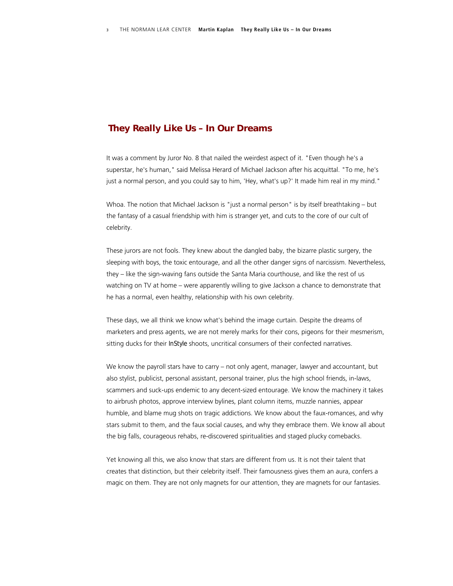### *They Really Like Us – In Our Dreams*

It was a comment by Juror No. 8 that nailed the weirdest aspect of it. "Even though he's a superstar, he's human," said Melissa Herard of Michael Jackson after his acquittal. "To me, he's just a normal person, and you could say to him, 'Hey, what's up?' It made him real in my mind."

Whoa. The notion that Michael Jackson is "just a normal person" is by itself breathtaking – but the fantasy of a casual friendship with him is stranger yet, and cuts to the core of our cult of celebrity.

These jurors are not fools. They knew about the dangled baby, the bizarre plastic surgery, the sleeping with boys, the toxic entourage, and all the other danger signs of narcissism. Nevertheless, they – like the sign-waving fans outside the Santa Maria courthouse, and like the rest of us watching on TV at home – were apparently willing to give Jackson a chance to demonstrate that he has a normal, even healthy, relationship with his own celebrity.

These days, we all think we know what's behind the image curtain. Despite the dreams of marketers and press agents, we are not merely marks for their cons, pigeons for their mesmerism, sitting ducks for their *InStyle* shoots, uncritical consumers of their confected narratives.

We know the payroll stars have to carry – not only agent, manager, lawyer and accountant, but also stylist, publicist, personal assistant, personal trainer, plus the high school friends, in-laws, scammers and suck-ups endemic to any decent-sized entourage. We know the machinery it takes to airbrush photos, approve interview bylines, plant column items, muzzle nannies, appear humble, and blame mug shots on tragic addictions. We know about the faux-romances, and why stars submit to them, and the faux social causes, and why they embrace them. We know all about the big falls, courageous rehabs, re-discovered spiritualities and staged plucky comebacks.

Yet knowing all this, we also know that stars are different from us. It is not their talent that creates that distinction, but their celebrity itself. Their famousness gives them an aura, confers a magic on them. They are not only magnets for our attention, they are magnets for our fantasies.